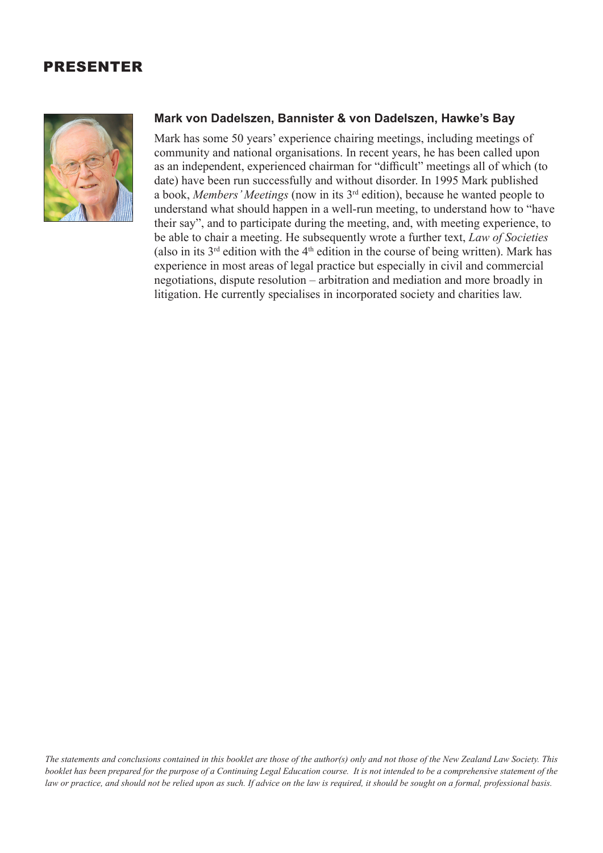## PRESENTER



## **Mark von Dadelszen, Bannister & von Dadelszen, Hawke's Bay**

Mark has some 50 years' experience chairing meetings, including meetings of community and national organisations. In recent years, he has been called upon as an independent, experienced chairman for "difficult" meetings all of which (to date) have been run successfully and without disorder. In 1995 Mark published a book, *Members' Meetings* (now in its 3rd edition), because he wanted people to understand what should happen in a well-run meeting, to understand how to "have their say", and to participate during the meeting, and, with meeting experience, to be able to chair a meeting. He subsequently wrote a further text, *Law of Societies* (also in its  $3^{rd}$  edition with the  $4^{th}$  edition in the course of being written). Mark has experience in most areas of legal practice but especially in civil and commercial negotiations, dispute resolution – arbitration and mediation and more broadly in litigation. He currently specialises in incorporated society and charities law.

*The statements and conclusions contained in this booklet are those of the author(s) only and not those of the New Zealand Law Society. This booklet has been prepared for the purpose of a Continuing Legal Education course. It is not intended to be a comprehensive statement of the law or practice, and should not be relied upon as such. If advice on the law is required, it should be sought on a formal, professional basis.*